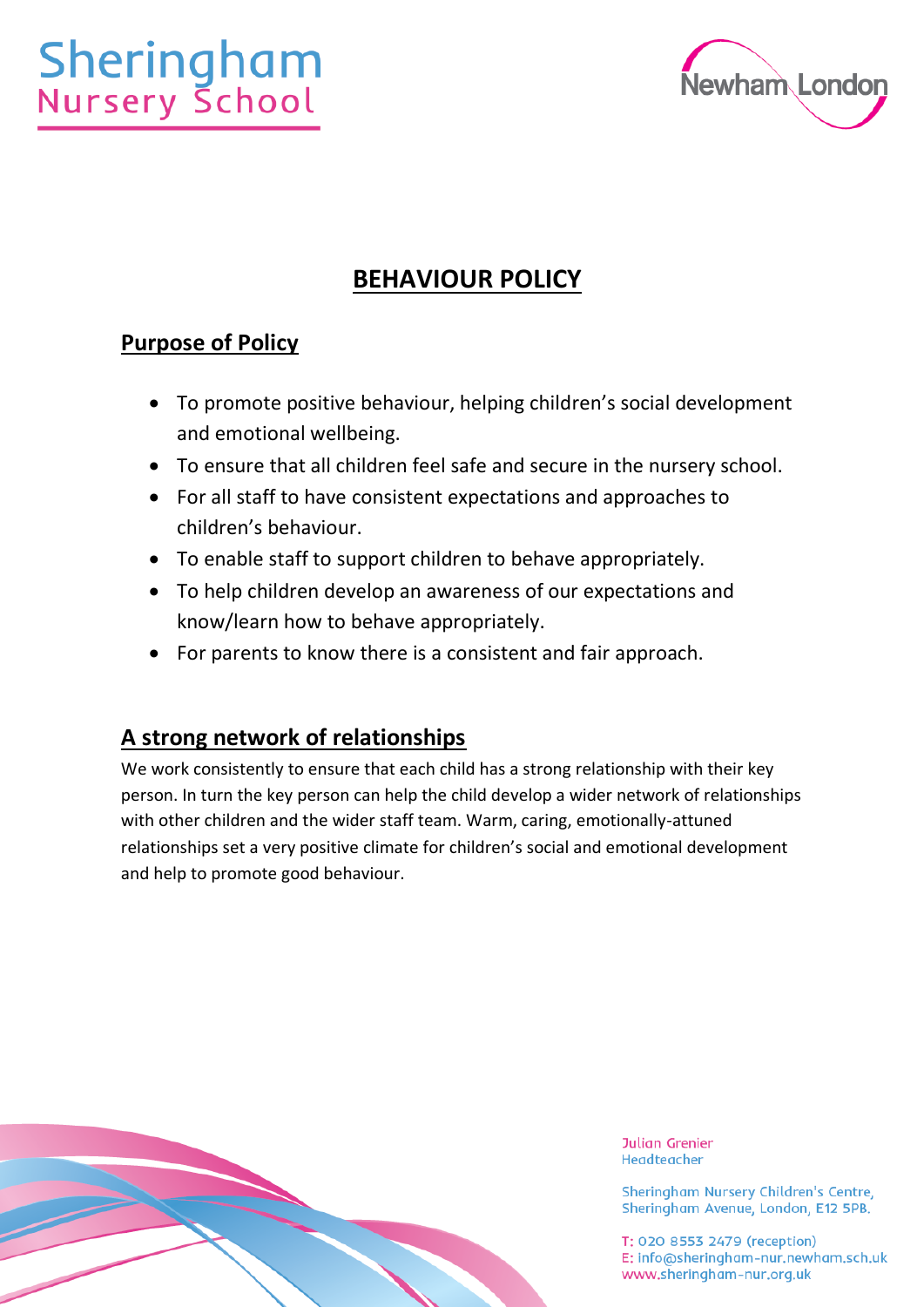# **Sheringham**<br>Nursery School



# **BEHAVIOUR POLICY**

# **Purpose of Policy**

- To promote positive behaviour, helping children's social development and emotional wellbeing.
- To ensure that all children feel safe and secure in the nursery school.
- For all staff to have consistent expectations and approaches to children's behaviour.
- To enable staff to support children to behave appropriately.
- To help children develop an awareness of our expectations and know/learn how to behave appropriately.
- For parents to know there is a consistent and fair approach.

# **A strong network of relationships**

We work consistently to ensure that each child has a strong relationship with their key person. In turn the key person can help the child develop a wider network of relationships with other children and the wider staff team. Warm, caring, emotionally-attuned relationships set a very positive climate for children's social and emotional development and help to promote good behaviour.

**Julian Grenier** Headteacher

Sheringham Nursery Children's Centre, Sheringham Avenue, London, E12 5PB.

T: 020 8553 2479 (reception) E: info@sheringham-nur.newham.sch.uk www.sheringham-nur.org.uk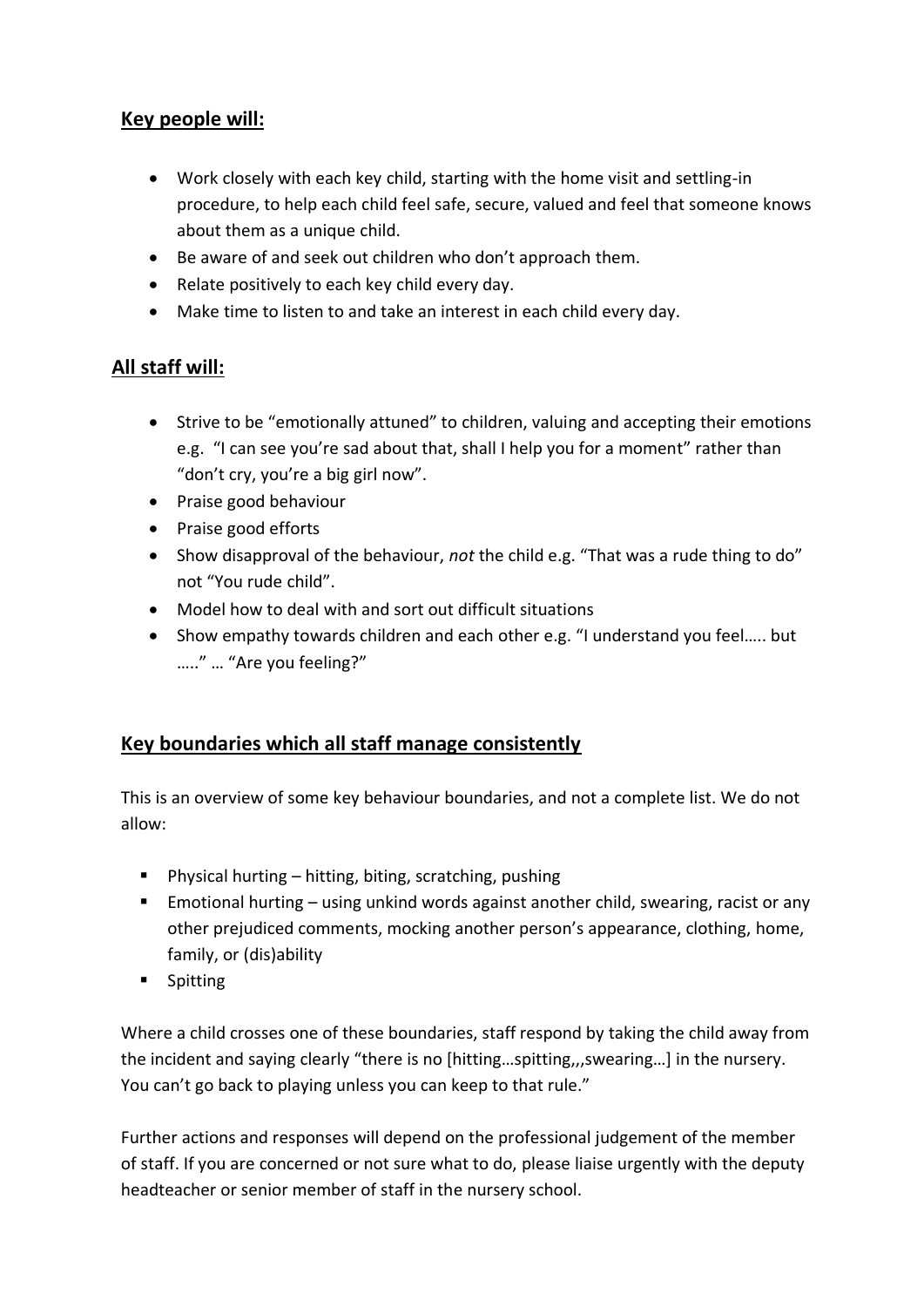# **Key people will:**

- Work closely with each key child, starting with the home visit and settling-in procedure, to help each child feel safe, secure, valued and feel that someone knows about them as a unique child.
- Be aware of and seek out children who don't approach them.
- Relate positively to each key child every day.
- Make time to listen to and take an interest in each child every day.

# **All staff will:**

- Strive to be "emotionally attuned" to children, valuing and accepting their emotions e.g. "I can see you're sad about that, shall I help you for a moment" rather than "don't cry, you're a big girl now".
- Praise good behaviour
- Praise good efforts
- Show disapproval of the behaviour, *not* the child e.g. "That was a rude thing to do" not "You rude child".
- Model how to deal with and sort out difficult situations
- Show empathy towards children and each other e.g. "I understand you feel….. but ….." … "Are you feeling?"

# **Key boundaries which all staff manage consistently**

This is an overview of some key behaviour boundaries, and not a complete list. We do not allow:

- Physical hurting hitting, biting, scratching, pushing
- **Emotional hurting using unkind words against another child, swearing, racist or any** other prejudiced comments, mocking another person's appearance, clothing, home, family, or (dis)ability
- Spitting

Where a child crosses one of these boundaries, staff respond by taking the child away from the incident and saying clearly "there is no [hitting…spitting,,,swearing…] in the nursery. You can't go back to playing unless you can keep to that rule."

Further actions and responses will depend on the professional judgement of the member of staff. If you are concerned or not sure what to do, please liaise urgently with the deputy headteacher or senior member of staff in the nursery school.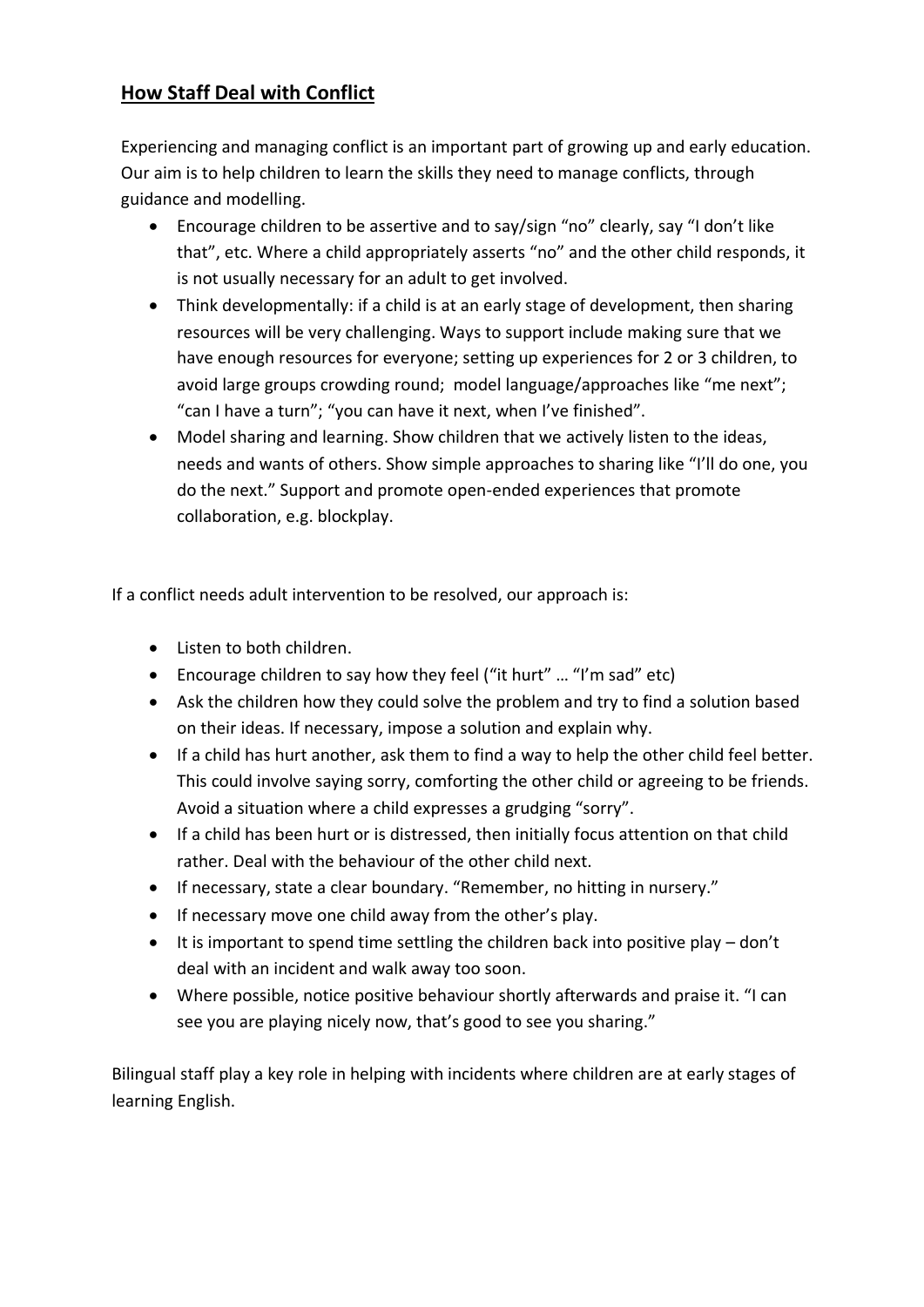# **How Staff Deal with Conflict**

Experiencing and managing conflict is an important part of growing up and early education. Our aim is to help children to learn the skills they need to manage conflicts, through guidance and modelling.

- Encourage children to be assertive and to say/sign "no" clearly, say "I don't like that", etc. Where a child appropriately asserts "no" and the other child responds, it is not usually necessary for an adult to get involved.
- Think developmentally: if a child is at an early stage of development, then sharing resources will be very challenging. Ways to support include making sure that we have enough resources for everyone; setting up experiences for 2 or 3 children, to avoid large groups crowding round; model language/approaches like "me next"; "can I have a turn"; "you can have it next, when I've finished".
- Model sharing and learning. Show children that we actively listen to the ideas, needs and wants of others. Show simple approaches to sharing like "I'll do one, you do the next." Support and promote open-ended experiences that promote collaboration, e.g. blockplay.

If a conflict needs adult intervention to be resolved, our approach is:

- Listen to both children.
- Encourage children to say how they feel ("it hurt" ... "I'm sad" etc)
- Ask the children how they could solve the problem and try to find a solution based on their ideas. If necessary, impose a solution and explain why.
- If a child has hurt another, ask them to find a way to help the other child feel better. This could involve saying sorry, comforting the other child or agreeing to be friends. Avoid a situation where a child expresses a grudging "sorry".
- If a child has been hurt or is distressed, then initially focus attention on that child rather. Deal with the behaviour of the other child next.
- If necessary, state a clear boundary. "Remember, no hitting in nursery."
- If necessary move one child away from the other's play.
- It is important to spend time settling the children back into positive play don't deal with an incident and walk away too soon.
- Where possible, notice positive behaviour shortly afterwards and praise it. "I can see you are playing nicely now, that's good to see you sharing."

Bilingual staff play a key role in helping with incidents where children are at early stages of learning English.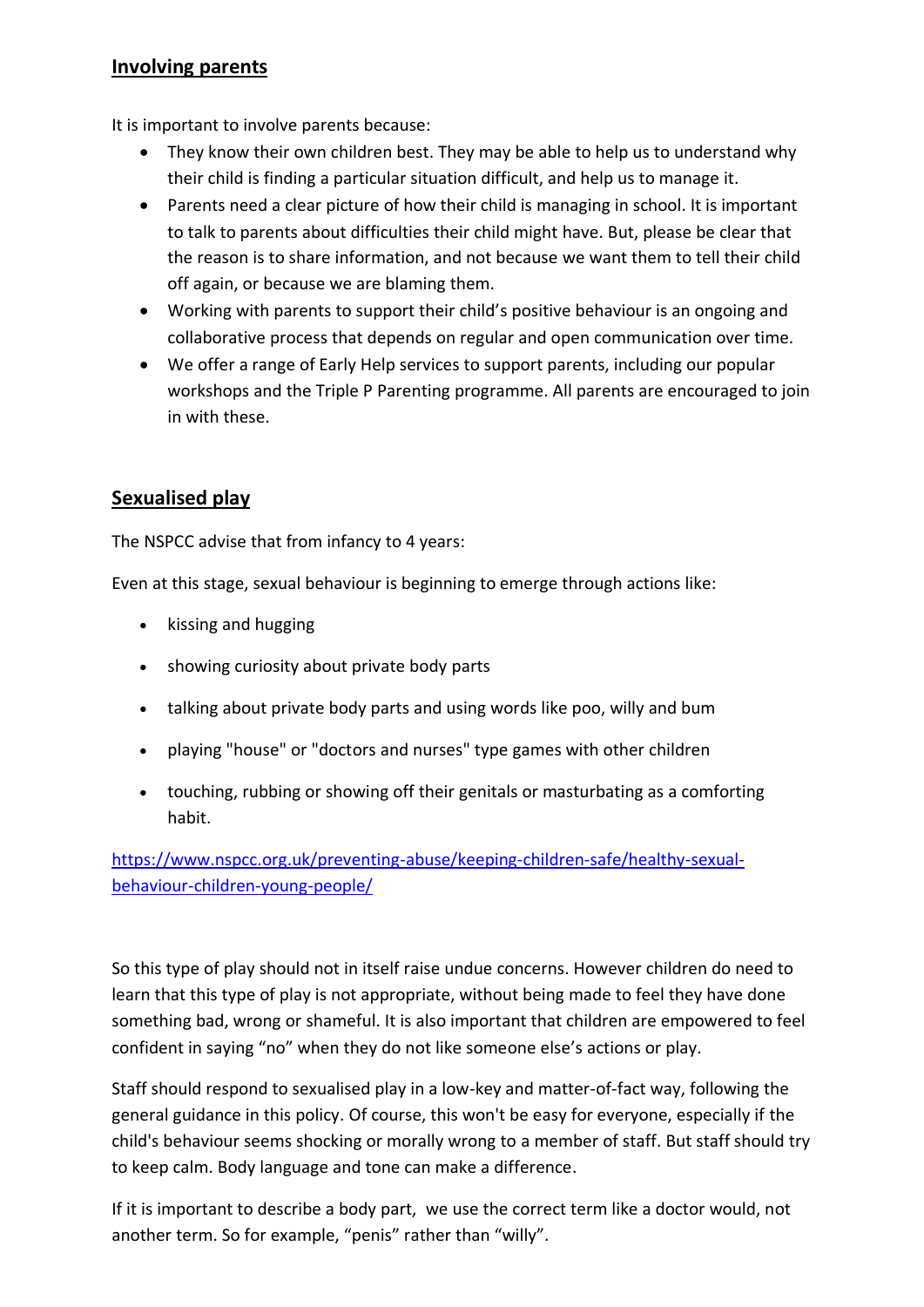#### **Involving parents**

It is important to involve parents because:

- They know their own children best. They may be able to help us to understand why their child is finding a particular situation difficult, and help us to manage it.
- Parents need a clear picture of how their child is managing in school. It is important to talk to parents about difficulties their child might have. But, please be clear that the reason is to share information, and not because we want them to tell their child off again, or because we are blaming them.
- Working with parents to support their child's positive behaviour is an ongoing and collaborative process that depends on regular and open communication over time.
- We offer a range of Early Help services to support parents, including our popular workshops and the Triple P Parenting programme. All parents are encouraged to join in with these.

## **Sexualised play**

The NSPCC advise that from infancy to 4 years:

Even at this stage, sexual behaviour is beginning to emerge through actions like:

- kissing and hugging
- showing curiosity about private body parts
- talking about private body parts and using words like poo, willy and bum
- playing "house" or "doctors and nurses" type games with other children
- touching, rubbing or showing off their genitals or masturbating as a comforting habit.

[https://www.nspcc.org.uk/preventing-abuse/keeping-children-safe/healthy-sexual](https://www.nspcc.org.uk/preventing-abuse/keeping-children-safe/healthy-sexual-behaviour-children-young-people/)[behaviour-children-young-people/](https://www.nspcc.org.uk/preventing-abuse/keeping-children-safe/healthy-sexual-behaviour-children-young-people/)

So this type of play should not in itself raise undue concerns. However children do need to learn that this type of play is not appropriate, without being made to feel they have done something bad, wrong or shameful. It is also important that children are empowered to feel confident in saying "no" when they do not like someone else's actions or play.

Staff should respond to sexualised play in a low-key and matter-of-fact way, following the general guidance in this policy. Of course, this won't be easy for everyone, especially if the child's behaviour seems shocking or morally wrong to a member of staff. But staff should try to keep calm. Body language and tone can make a difference.

If it is important to describe a body part, we use the correct term like a doctor would, not another term. So for example, "penis" rather than "willy".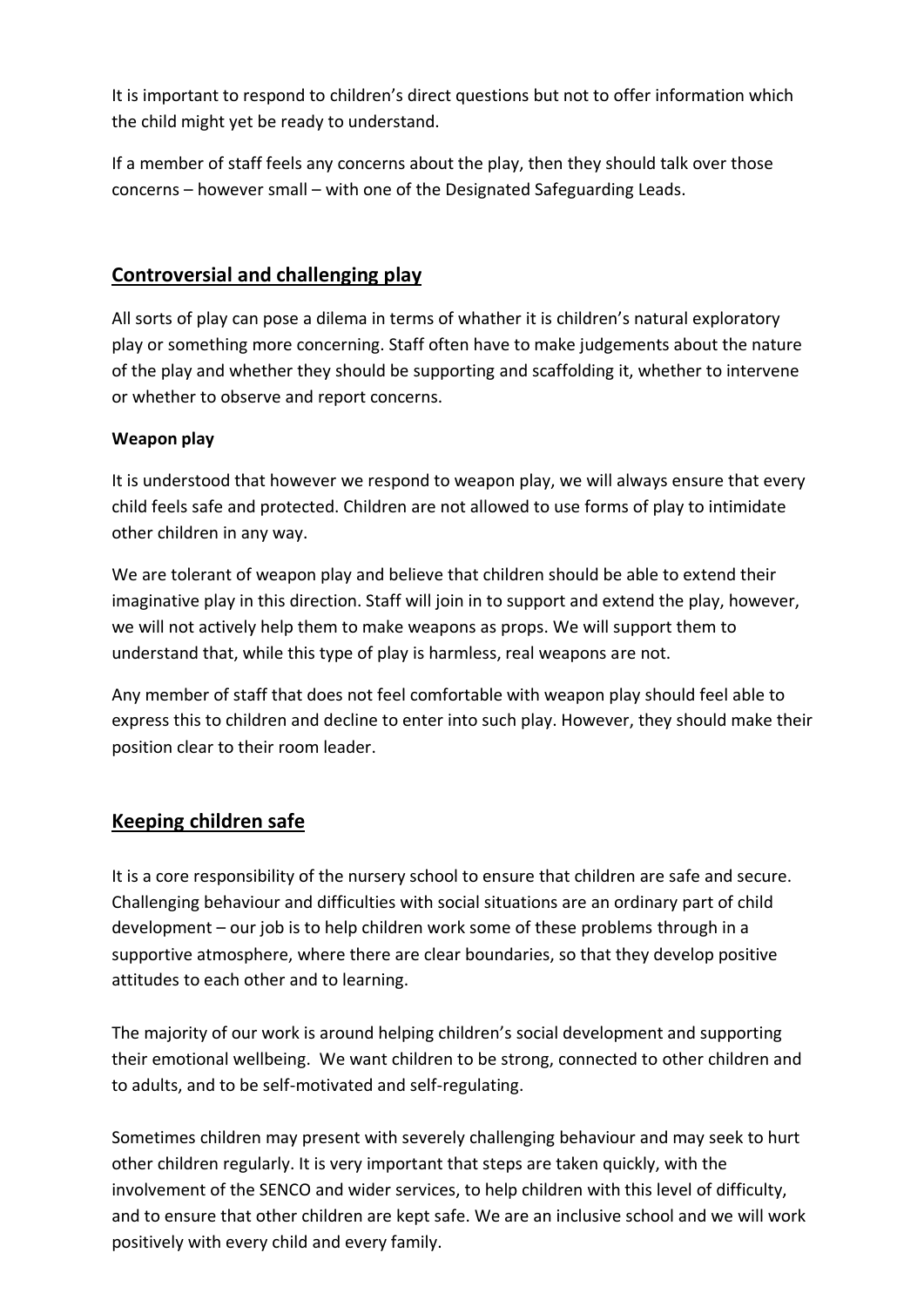It is important to respond to children's direct questions but not to offer information which the child might yet be ready to understand.

If a member of staff feels any concerns about the play, then they should talk over those concerns – however small – with one of the Designated Safeguarding Leads.

## **Controversial and challenging play**

All sorts of play can pose a dilema in terms of whather it is children's natural exploratory play or something more concerning. Staff often have to make judgements about the nature of the play and whether they should be supporting and scaffolding it, whether to intervene or whether to observe and report concerns.

#### **Weapon play**

It is understood that however we respond to weapon play, we will always ensure that every child feels safe and protected. Children are not allowed to use forms of play to intimidate other children in any way.

We are tolerant of weapon play and believe that children should be able to extend their imaginative play in this direction. Staff will join in to support and extend the play, however, we will not actively help them to make weapons as props. We will support them to understand that, while this type of play is harmless, real weapons are not.

Any member of staff that does not feel comfortable with weapon play should feel able to express this to children and decline to enter into such play. However, they should make their position clear to their room leader.

# **Keeping children safe**

It is a core responsibility of the nursery school to ensure that children are safe and secure. Challenging behaviour and difficulties with social situations are an ordinary part of child development – our job is to help children work some of these problems through in a supportive atmosphere, where there are clear boundaries, so that they develop positive attitudes to each other and to learning.

The majority of our work is around helping children's social development and supporting their emotional wellbeing. We want children to be strong, connected to other children and to adults, and to be self-motivated and self-regulating.

Sometimes children may present with severely challenging behaviour and may seek to hurt other children regularly. It is very important that steps are taken quickly, with the involvement of the SENCO and wider services, to help children with this level of difficulty, and to ensure that other children are kept safe. We are an inclusive school and we will work positively with every child and every family.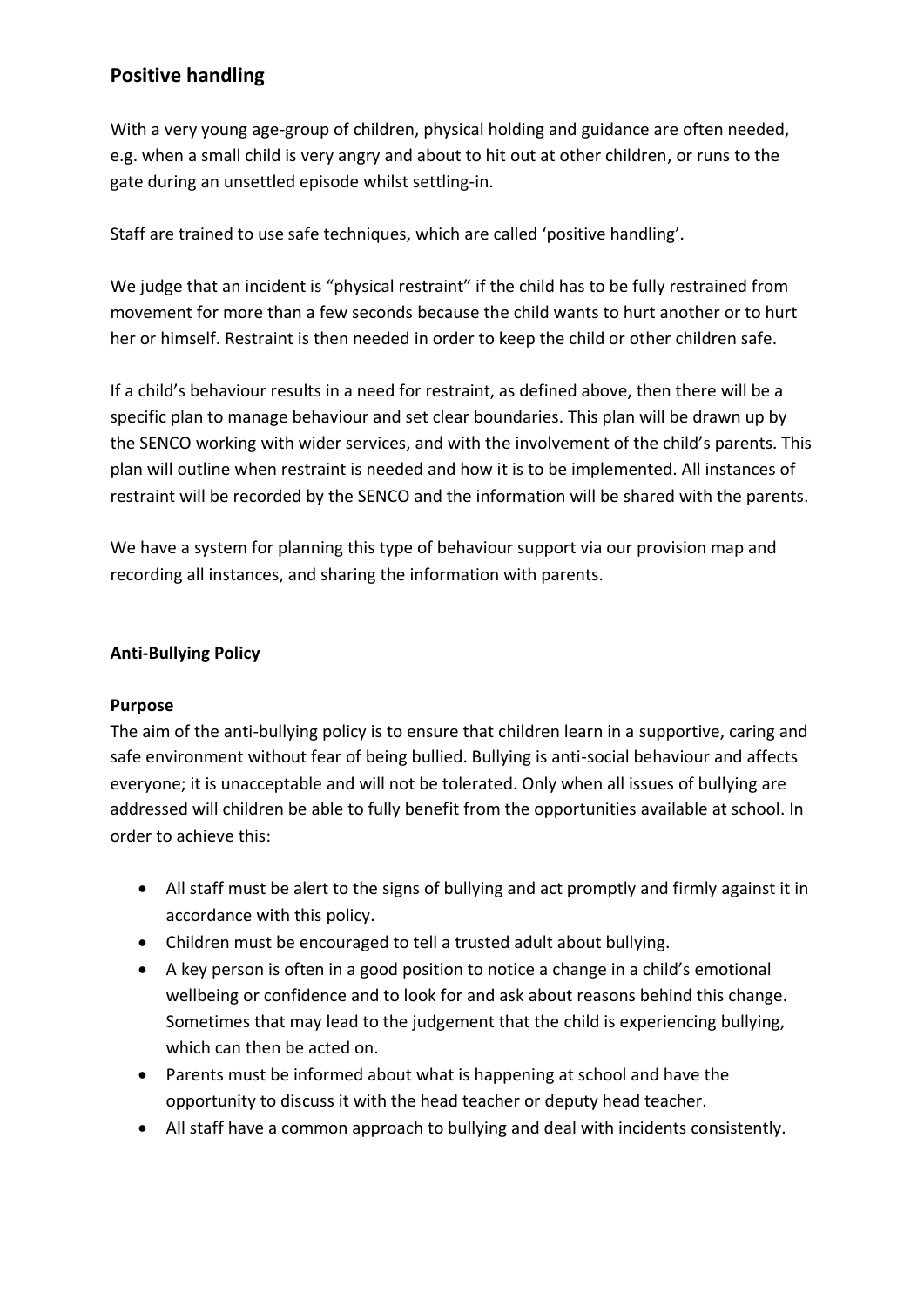# **Positive handling**

With a very young age-group of children, physical holding and guidance are often needed, e.g. when a small child is very angry and about to hit out at other children, or runs to the gate during an unsettled episode whilst settling-in.

Staff are trained to use safe techniques, which are called 'positive handling'.

We judge that an incident is "physical restraint" if the child has to be fully restrained from movement for more than a few seconds because the child wants to hurt another or to hurt her or himself. Restraint is then needed in order to keep the child or other children safe.

If a child's behaviour results in a need for restraint, as defined above, then there will be a specific plan to manage behaviour and set clear boundaries. This plan will be drawn up by the SENCO working with wider services, and with the involvement of the child's parents. This plan will outline when restraint is needed and how it is to be implemented. All instances of restraint will be recorded by the SENCO and the information will be shared with the parents.

We have a system for planning this type of behaviour support via our provision map and recording all instances, and sharing the information with parents.

#### **Anti-Bullying Policy**

#### **Purpose**

The aim of the anti-bullying policy is to ensure that children learn in a supportive, caring and safe environment without fear of being bullied. Bullying is anti-social behaviour and affects everyone; it is unacceptable and will not be tolerated. Only when all issues of bullying are addressed will children be able to fully benefit from the opportunities available at school. In order to achieve this:

- All staff must be alert to the signs of bullying and act promptly and firmly against it in accordance with this policy.
- Children must be encouraged to tell a trusted adult about bullying.
- A key person is often in a good position to notice a change in a child's emotional wellbeing or confidence and to look for and ask about reasons behind this change. Sometimes that may lead to the judgement that the child is experiencing bullying, which can then be acted on.
- Parents must be informed about what is happening at school and have the opportunity to discuss it with the head teacher or deputy head teacher.
- All staff have a common approach to bullying and deal with incidents consistently.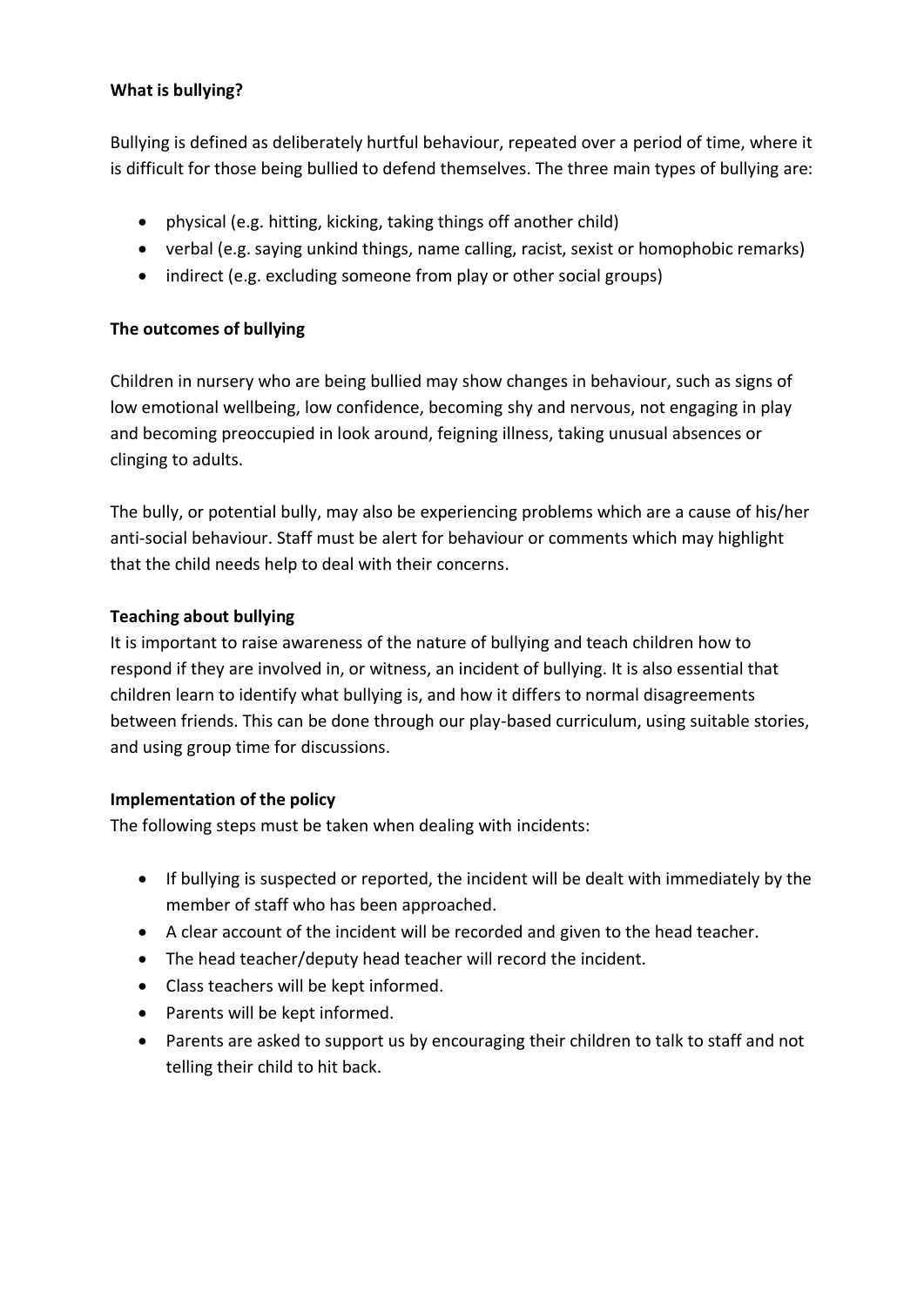#### **What is bullying?**

Bullying is defined as deliberately hurtful behaviour, repeated over a period of time, where it is difficult for those being bullied to defend themselves. The three main types of bullying are:

- physical (e.g. hitting, kicking, taking things off another child)
- verbal (e.g. saying unkind things, name calling, racist, sexist or homophobic remarks)
- indirect (e.g. excluding someone from play or other social groups)

#### **The outcomes of bullying**

Children in nursery who are being bullied may show changes in behaviour, such as signs of low emotional wellbeing, low confidence, becoming shy and nervous, not engaging in play and becoming preoccupied in look around, feigning illness, taking unusual absences or clinging to adults.

The bully, or potential bully, may also be experiencing problems which are a cause of his/her anti-social behaviour. Staff must be alert for behaviour or comments which may highlight that the child needs help to deal with their concerns.

#### **Teaching about bullying**

It is important to raise awareness of the nature of bullying and teach children how to respond if they are involved in, or witness, an incident of bullying. It is also essential that children learn to identify what bullying is, and how it differs to normal disagreements between friends. This can be done through our play-based curriculum, using suitable stories, and using group time for discussions.

#### **Implementation of the policy**

The following steps must be taken when dealing with incidents:

- If bullying is suspected or reported, the incident will be dealt with immediately by the member of staff who has been approached.
- A clear account of the incident will be recorded and given to the head teacher.
- The head teacher/deputy head teacher will record the incident.
- Class teachers will be kept informed.
- Parents will be kept informed.
- Parents are asked to support us by encouraging their children to talk to staff and not telling their child to hit back.